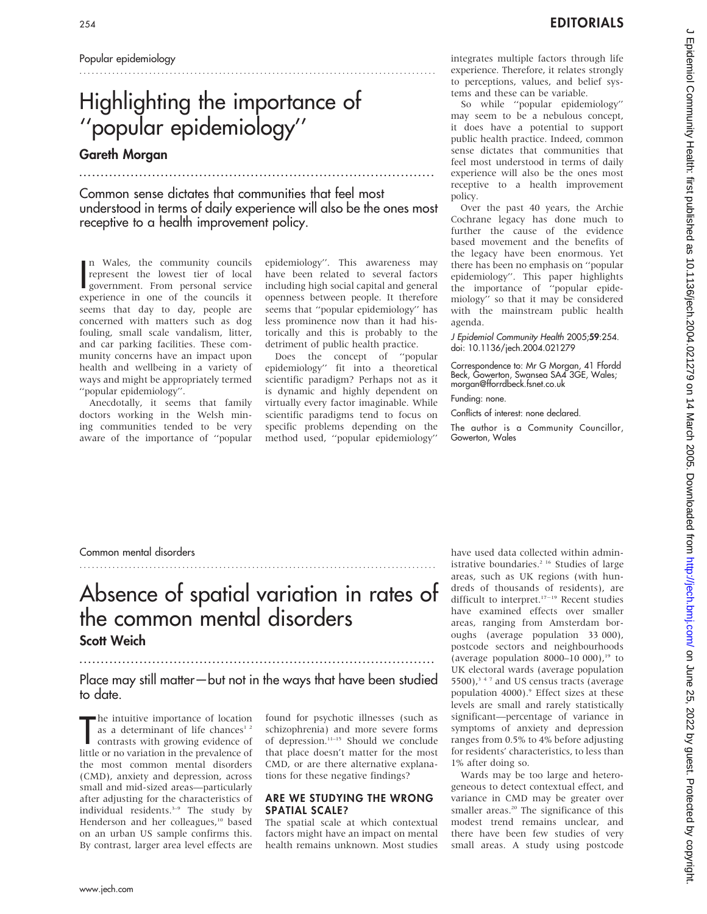#### Popular epidemiology .......................................................................................

# Highlighting the importance of ''popular epidemiology''

## Gareth Morgan

Common sense dictates that communities that feel most understood in terms of daily experience will also be the ones most receptive to a health improvement policy.

...................................................................................

In Wales, the community councils<br>government. From personal service<br>government. From personal service n Wales, the community councils represent the lowest tier of local experience in one of the councils it seems that day to day, people are concerned with matters such as dog fouling, small scale vandalism, litter, and car parking facilities. These community concerns have an impact upon health and wellbeing in a variety of ways and might be appropriately termed ''popular epidemiology''.

Anecdotally, it seems that family doctors working in the Welsh mining communities tended to be very aware of the importance of ''popular epidemiology''. This awareness may have been related to several factors including high social capital and general openness between people. It therefore seems that ''popular epidemiology'' has less prominence now than it had historically and this is probably to the detriment of public health practice.

Does the concept of ''popular epidemiology'' fit into a theoretical scientific paradigm? Perhaps not as it is dynamic and highly dependent on virtually every factor imaginable. While scientific paradigms tend to focus on specific problems depending on the method used, ''popular epidemiology''

.......................................................................................

integrates multiple factors through life experience. Therefore, it relates strongly to perceptions, values, and belief systems and these can be variable.

So while ''popular epidemiology'' may seem to be a nebulous concept, it does have a potential to support public health practice. Indeed, common sense dictates that communities that feel most understood in terms of daily experience will also be the ones most receptive to a health improvement policy.

Over the past 40 years, the Archie Cochrane legacy has done much to further the cause of the evidence based movement and the benefits of the legacy have been enormous. Yet there has been no emphasis on ''popular epidemiology''. This paper highlights the importance of ''popular epidemiology'' so that it may be considered with the mainstream public health agenda.

J Epidemiol Community Health 2005;59:254. doi: 10.1136/jech.2004.021279

Correspondence to: Mr G Morgan, 41 Ffordd Beck, Gowerton, Swansea SA4 3GE, Wales; morgan@fforrdbeck.fsnet.co.uk

Funding: none.

Conflicts of interest: none declared.

The author is a Community Councillor, Gowerton, Wales

## Common mental disorders

## Absence of spatial variation in rates of the common mental disorders Scott Weich

...................................................................................

Place may still matter—but not in the ways that have been studied to date.

The intuitive importance of location<br>as a determinant of life chances<sup>12</sup><br>contrasts with growing evidence of<br>little or no variation in the prevalence of he intuitive importance of location as a determinant of life chances<sup>1</sup><sup>2</sup> contrasts with growing evidence of the most common mental disorders (CMD), anxiety and depression, across small and mid-sized areas—particularly after adjusting for the characteristics of individual residents.<sup>3-9</sup> The study by Henderson and her colleagues,<sup>10</sup> based on an urban US sample confirms this. By contrast, larger area level effects are

found for psychotic illnesses (such as schizophrenia) and more severe forms of depression.11–15 Should we conclude that place doesn't matter for the most CMD, or are there alternative explanations for these negative findings?

#### ARE WE STUDYING THE WRONG SPATIAL SCALE?

The spatial scale at which contextual factors might have an impact on mental health remains unknown. Most studies

have used data collected within administrative boundaries.<sup>2 16</sup> Studies of large areas, such as UK regions (with hundreds of thousands of residents), are difficult to interpret. $17-19$  Recent studies have examined effects over smaller areas, ranging from Amsterdam boroughs (average population 33 000), postcode sectors and neighbourhoods (average population  $8000-10000$ ),<sup>19</sup> to UK electoral wards (average population 5500), $347$  and US census tracts (average population 4000).<sup>9</sup> Effect sizes at these levels are small and rarely statistically significant—percentage of variance in symptoms of anxiety and depression ranges from 0.5% to 4% before adjusting for residents' characteristics, to less than 1% after doing so.

Wards may be too large and heterogeneous to detect contextual effect, and variance in CMD may be greater over smaller areas.<sup>20</sup> The significance of this modest trend remains unclear, and there have been few studies of very small areas. A study using postcode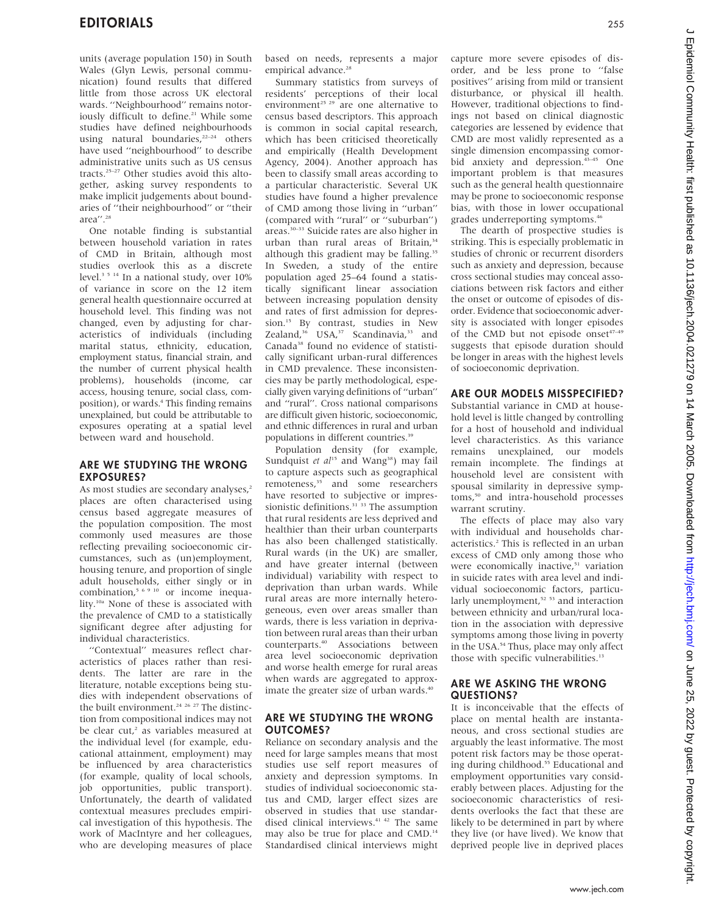units (average population 150) in South Wales (Glyn Lewis, personal communication) found results that differed little from those across UK electoral wards. ''Neighbourhood'' remains notoriously difficult to define.<sup>21</sup> While some studies have defined neighbourhoods using natural boundaries, $2^{22-24}$  others have used ''neighbourhood'' to describe administrative units such as US census tracts.25–27 Other studies avoid this altogether, asking survey respondents to make implicit judgements about boundaries of ''their neighbourhood'' or ''their area''.28

One notable finding is substantial between household variation in rates of CMD in Britain, although most studies overlook this as a discrete level.3 5 14 In a national study, over 10% of variance in score on the 12 item general health questionnaire occurred at household level. This finding was not changed, even by adjusting for characteristics of individuals (including marital status, ethnicity, education, employment status, financial strain, and the number of current physical health problems), households (income, car access, housing tenure, social class, composition), or wards.4 This finding remains unexplained, but could be attributable to exposures operating at a spatial level between ward and household.

#### ARE WE STUDYING THE WRONG EXPOSURES?

As most studies are secondary analyses,<sup>2</sup> places are often characterised using census based aggregate measures of the population composition. The most commonly used measures are those reflecting prevailing socioeconomic circumstances, such as (un)employment, housing tenure, and proportion of single adult households, either singly or in combination,<sup>5 6 9 10</sup> or income inequality.10a None of these is associated with the prevalence of CMD to a statistically significant degree after adjusting for individual characteristics.

''Contextual'' measures reflect characteristics of places rather than residents. The latter are rare in the literature, notable exceptions being studies with independent observations of the built environment.<sup>24 26</sup> <sup>27</sup> The distinction from compositional indices may not be clear cut,<sup>2</sup> as variables measured at the individual level (for example, educational attainment, employment) may be influenced by area characteristics (for example, quality of local schools, job opportunities, public transport). Unfortunately, the dearth of validated contextual measures precludes empirical investigation of this hypothesis. The work of MacIntyre and her colleagues, who are developing measures of place based on needs, represents a major empirical advance.<sup>28</sup>

Summary statistics from surveys of residents' perceptions of their local environment<sup>25</sup> <sup>29</sup> are one alternative to census based descriptors. This approach is common in social capital research, which has been criticised theoretically and empirically (Health Development Agency, 2004). Another approach has been to classify small areas according to a particular characteristic. Several UK studies have found a higher prevalence of CMD among those living in ''urban'' (compared with ''rural'' or ''suburban'') areas.30–33 Suicide rates are also higher in urban than rural areas of Britain,<sup>34</sup> although this gradient may be falling.<sup>35</sup> In Sweden, a study of the entire population aged 25–64 found a statistically significant linear association between increasing population density and rates of first admission for depression.<sup>15</sup> By contrast, studies in New Zealand,<sup>36</sup> USA,<sup>37</sup> Scandinavia,<sup>33</sup> and Canada<sup>38</sup> found no evidence of statistically significant urban-rural differences in CMD prevalence. These inconsistencies may be partly methodological, especially given varying definitions of ''urban'' and ''rural''. Cross national comparisons are difficult given historic, socioeconomic, and ethnic differences in rural and urban populations in different countries.<sup>39</sup>

Population density (for example, Sundquist et  $al^{15}$  and Wang<sup>38</sup>) may fail to capture aspects such as geographical remoteness,<sup>35</sup> and some researchers have resorted to subjective or impressionistic definitions.<sup>31</sup> <sup>33</sup> The assumption that rural residents are less deprived and healthier than their urban counterparts has also been challenged statistically. Rural wards (in the UK) are smaller, and have greater internal (between individual) variability with respect to deprivation than urban wards. While rural areas are more internally heterogeneous, even over areas smaller than wards, there is less variation in deprivation between rural areas than their urban counterparts.40 Associations between area level socioeconomic deprivation and worse health emerge for rural areas when wards are aggregated to approximate the greater size of urban wards.<sup>40</sup>

#### ARE WE STUDYING THE WRONG OUTCOMES?

Reliance on secondary analysis and the need for large samples means that most studies use self report measures of anxiety and depression symptoms. In studies of individual socioeconomic status and CMD, larger effect sizes are observed in studies that use standardised clinical interviews.<sup>41 42</sup> The same may also be true for place and CMD.<sup>14</sup> Standardised clinical interviews might capture more severe episodes of disorder, and be less prone to ''false positives'' arising from mild or transient disturbance, or physical ill health. However, traditional objections to findings not based on clinical diagnostic categories are lessened by evidence that CMD are most validly represented as a single dimension encompassing comorbid anxiety and depression.<sup>43-45</sup> One important problem is that measures such as the general health questionnaire may be prone to socioeconomic response bias, with those in lower occupational grades underreporting symptoms.46

The dearth of prospective studies is striking. This is especially problematic in studies of chronic or recurrent disorders such as anxiety and depression, because cross sectional studies may conceal associations between risk factors and either the onset or outcome of episodes of disorder. Evidence that socioeconomic adversity is associated with longer episodes of the CMD but not episode onset<sup>47-49</sup> suggests that episode duration should be longer in areas with the highest levels of socioeconomic deprivation.

## ARE OUR MODELS MISSPECIFIED?

Substantial variance in CMD at household level is little changed by controlling for a host of household and individual level characteristics. As this variance remains unexplained, our models remain incomplete. The findings at household level are consistent with spousal similarity in depressive symptoms,<sup>50</sup> and intra-household processes warrant scrutiny.

The effects of place may also vary with individual and households characteristics.2 This is reflected in an urban excess of CMD only among those who were economically inactive,<sup>51</sup> variation in suicide rates with area level and individual socioeconomic factors, particularly unemployment, $52 53$  and interaction between ethnicity and urban/rural location in the association with depressive symptoms among those living in poverty in the USA.<sup>54</sup> Thus, place may only affect those with specific vulnerabilities.<sup>13</sup>

#### ARE WE ASKING THE WRONG QUESTIONS?

It is inconceivable that the effects of place on mental health are instantaneous, and cross sectional studies are arguably the least informative. The most potent risk factors may be those operating during childhood.<sup>55</sup> Educational and employment opportunities vary considerably between places. Adjusting for the socioeconomic characteristics of residents overlooks the fact that these are likely to be determined in part by where they live (or have lived). We know that deprived people live in deprived places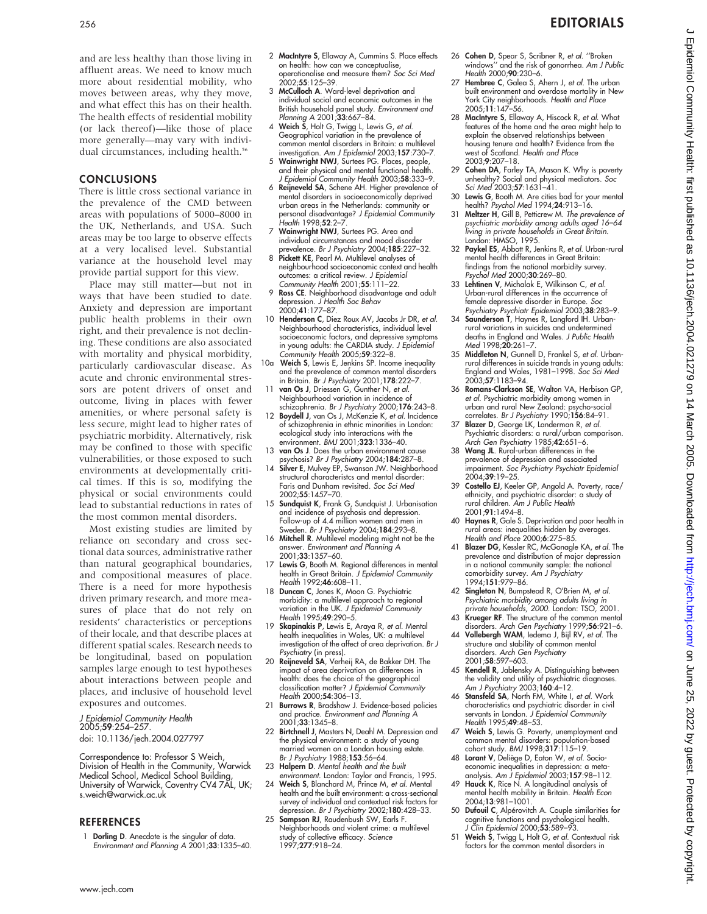more about residential mobility, who moves between areas, why they move, and what effect this has on their health. The health effects of residential mobility (or lack thereof)—like those of place more generally—may vary with individual circumstances, including health.<sup>56</sup>

## **CONCLUSIONS**

There is little cross sectional variance in the prevalence of the CMD between areas with populations of 5000–8000 in the UK, Netherlands, and USA. Such areas may be too large to observe effects at a very localised level. Substantial variance at the household level may provide partial support for this view.

Place may still matter—but not in ways that have been studied to date. Anxiety and depression are important public health problems in their own right, and their prevalence is not declining. These conditions are also associated with mortality and physical morbidity, particularly cardiovascular disease. As acute and chronic environmental stressors are potent drivers of onset and outcome, living in places with fewer amenities, or where personal safety is less secure, might lead to higher rates of psychiatric morbidity. Alternatively, risk may be confined to those with specific vulnerabilities, or those exposed to such environments at developmentally critical times. If this is so, modifying the physical or social environments could lead to substantial reductions in rates of the most common mental disorders.

Most existing studies are limited by reliance on secondary and cross sectional data sources, administrative rather than natural geographical boundaries, and compositional measures of place. There is a need for more hypothesis driven primary research, and more measures of place that do not rely on residents' characteristics or perceptions of their locale, and that describe places at different spatial scales. Research needs to be longitudinal, based on population samples large enough to test hypotheses about interactions between people and places, and inclusive of household level exposures and outcomes.

#### J Epidemiol Community Health

2005;59:254–257. doi: 10.1136/jech.2004.027797

Correspondence to: Professor S Weich, Division of Health in the Community, Warwick Medical School, Medical School Building, University of Warwick, Coventry CV4 7AL, UK; s.weich@warwick.ac.uk

### REFERENCES

1 Dorling D. Anecdote is the singular of data. Environment and Planning A 2001;33:1335–40.

- 2 MacIntyre S, Ellaway A, Cummins S. Place effects on health: how can we conceptualise, operationalise and measure them? Soc Sci Med 2002;55:125–39.
- 3 McCulloch A. Ward-level deprivation and individual social and economic outcomes in the British household panel study. Environment and Planning A 2001;33:667–84.
- 4 Weich S, Holt G, Twigg L, Lewis G, et al. Geographical variation in the prevalence of common mental disorders in Britain: a multilevel investigation. Am J Epidemiol 2003;157:730–7.
- 5 Wainwright NWJ, Surtees PG. Places, people and their physical and mental functional health. J Epidemiol Community Health 2003;58:333–9.
- 6 Reijneveld SA, Schene AH. Higher prevalence of mental disorders in socioeconomically deprived urban areas in the Netherlands: community or personal disadvantage? J Epidemiol Community .<br>Health 1998;**52**:2–7
- 7 Wainwright NWJ, Surtees PG. Area and individual circumstances and mood disorder
- prevalence. *Br J Psychiatry* 2004;**185**:227–32.<br>8 **Pickett KE**, Pearl M. Multilevel analyses of neighbourhood socioeconomic context and health outcomes: a critical review. J Epidemiol Community Health 2001;55:111–22.
- Ross CE. Neighborhood disadvantage and adult depression. J Health Soc Behav 2000;41:177–87.
- 10 Henderson C, Diez Roux AV, Jacobs Jr DR, et al. Neighbourhood characteristics, individual level socioeconomic factors, and depressive symptoms in young adults: the CARDIA study. J Epidemiol Community Health 2005;59:322-8.
- 10a Weich S, Lewis E, Jenkins SP. Income inequality and the prevalence of common mental disorders in Britain. Br J Psychiatry 2001;178:222–7.
- 11 van Os J, Driessen G, Gunther N, et al. Neighbourhood variation in incidence of schizophrenia. Br J Psychiatry 2000;176:243-8.
- 12 Boydell J, van Os J, McKenzie K, et al. Incidence of schizophrenia in ethnic minorities in London: ecological study into interactions with the environment. BMJ 2001;323:1336–40.
- 13 van Os J. Does the urban environment cause psychosis? Br J Psychiatry 2004;184:287-8.
- 14 Silver E, Mulvey EP, Swanson JW. Neighborhood structural characteristcs and mental disorder: Faris and Dunham revisited. Soc Sci Med 2002;55:1457–70.
- 15 Sundquist K, Frank G, Sundquist J. Urbanisation and incidence of psychosis and depression. Follow-up of 4.4 million women and men in Sweden. Br J Psychiatry 2004;**184**:293–8.
- 16 Mitchell R. Multilevel modeling might not be the answer. Environment and Planning A 2001;33:1357–60.
- Lewis G, Booth M. Regional differences in mental health in Great Britain. J Epidemiol Community Health 1992;46:608-11.
- 18 Duncan C, Jones K, Moon G. Psychiatric morbidity: a multilevel approach to regional variation in the UK. J Epidemiol Community Health 1995;49:290–5.
- 19 Skapinakis P, Lewis E, Araya R, et al. Mental health inequalities in Wales, UK: a multilevel investigation of the affect of area deprivation. Br J Psychiatry (in press).
- 20 Reijneveld SA, Verheij RA, de Bakker DH. The impact of area deprivation on differences in health: does the choice of the geographical classification matter? J Epidemiol Community Health 2000;54:306–13.
- 21 Burrows R, Bradshaw J. Evidence-based policies and practice. Environment and Planning A 2001;33:1345–8.
- 22 Birtchnell J, Masters N, Deahl M. Depression and the physical environment: a study of young married women on a London housing estate. Br J Psychiatry 1988;153:56-64.
- 23 Halpern D. Mental health and the built environment. London: Taylor and Francis, 1995.
- 24 Weich S, Blanchard M, Prince M, et al. Mental health and the built environment: a cross-sectional survey of individual and contextual risk factors for depression. Br J Psychiatry 2002;180:428-33.
- 25 Sampson RJ, Raudenbush SW, Earls F. Neighborhoods and violent crime: a multilevel study of collective efficacy. Science 1997;277:918–24.
- 26 Cohen D, Spear S, Scribner R, et al. "Broken windows'' and the risk of gonorrhea. Am J Public Health 2000;90:230–6.
- 27 Hembree C, Galea S, Ahern J, et al. The urban built environment and overdose mortality in New York City neighborhoods. Health and Place 2005;11:147–56.
- 28 MacIntyre S, Ellaway A, Hiscock R, et al. What features of the home and the area might help to explain the observed relationships between housing tenure and health? Evidence from the west of Scotland. Health and Place 2003;9:207–18.
- 29 Cohen DA, Farley TA, Mason K. Why is poverty unhealthy? Social and physical mediators. Soc Sci Med 2003;57:1631–41.
- 30 Lewis G, Booth M. Are cities bad for your mental health? Psychol Med 1994;24:913–16.
- 31 Meltzer H, Gill B, Petticrew M. The prevalence of psychiatric morbidity among adults aged 16–64 living in private households in Great Britain. London: HMSO, 1995.
- 32 Paykel ES, Abbott R, Jenkins R, et al. Urban-rural mental health differences in Great Britain: findings from the national morbidity survey. Psychol Med 2000;30:269–80.
- 33 Lehtinen V, Michalak E, Wilkinson C, et al. Urban-rural differences in the occurrence of female depressive disorder in Europe. Soc Psychiatry Psychiatr Epidemiol 2003;38:283–9.
- 34 Saunderson T, Haynes R, Langford IH. Urbanrural variations in suicides and undetermined deaths in England and Wales. J Public Health Med 1998;20:261–7.
- 35 Middleton N, Gunnell D, Frankel S, et al. Urban-rural differences in suicide trands in young adults: England and Wales, 1981–1998. Soc Sci Med 2003;57:1183–94.
- 36 Romans-Clarkson SE, Walton VA, Herbison GP, et al. Psychiatric morbidity among women in urban and rural New Zealand: psycho-social correlates. Br J Psychiatry 1990;156:84–91.
- 37 Blazer D, George LK, Landerman R, et al. Psychiatric disorders: a rural/urban comparison. Arch Gen Psychiatry 1985;42:651–6.
- 38 Wang JL. Rural-urban differences in the prevalence of depression and associated impairment. Soc Psychiatry Psychiatr Epidemiol 2004;39:19–25.
- 39 Costello EJ, Keeler GP, Angold A. Poverty, race/ ethnicity, and psychiatric disorder: a study of<br>rural children. A*m J Public Health* 2001;91:1494–8.
- 40 Haynes R, Gale S. Deprivation and poor health in rural areas: inequalities hidden by averages. Health and Place 2000;6:275–85.
- 41 Blazer DG, Kessler RC, McGonagle KA, et al. The prevalence and distribution of major depression in a national community sample: the national comorbidity survey. *Am J Psychiatry*<br>1994;**151**:979–86.
- 42 Singleton N, Bumpstead R, O'Brien M, et al. Psychiatric morbidity among adults living in private households, 2000. London: TSO, 2001.
- 43 Krueger RF. The structure of the common mental disorders. Arch Gen Psychiatry 1999;56:921–6.
- 44 **Vollebergh WAM**, ledema J, Bijl RV, *et al.* The structure and stability of common mental disorders. Arch Gen Psychiatry 2001;58:597–603.
- 45 Kendell R, Jablensky A. Distinguishing between the validity and utility of psychiatric diagnoses. Am J Psychiatry 2003;160:4–12.
- 46 Stansfeld SA, North FM, White I, et al. Work characteristics and psychiatric disorder in civil servants in London. J Epidemiol Community Health 1995;49:48-53.
- Weich S, Lewis G. Poverty, unemployment and common mental disorders: population-based cohort study. BMJ 1998;317:115–19.
- 48 Lorant V, Deliège D, Eaton W, et al. Socioeconomic inequalities in depression: a meta-
- analysis. *Am J Epidemiol* 2003;**157**:98–112.<br>49 **Hauck K**, Rice N. A longitudinal analysis of mental health mobility in Britain. Health Econ 2004;13:981–1001.
- 50 Dufouil C, Alpérovitch A. Couple similarities for cognitive functions and psychological health. J Člin Epidemiol 2000;**53**:589–93.
- 51 Weich S, Twigg L, Holt G, et al. Contextual risk factors for the common mental disorders in